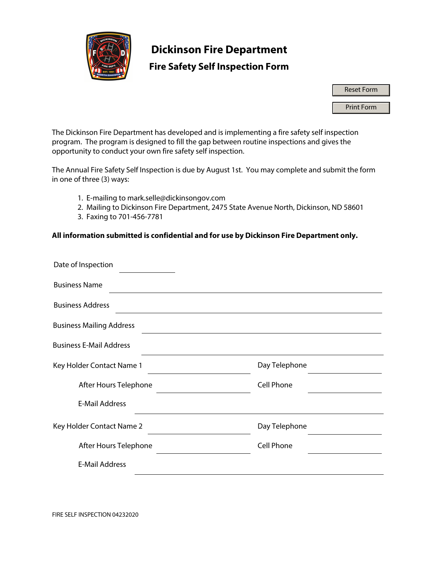

## **Dickinson Fire Department**

### **Fire Safety Self Inspection Form**

Reset Form

Print Form

The Dickinson Fire Department has developed and is implementing a fire safety self inspection program. The program is designed to fill the gap between routine inspections and gives the opportunity to conduct your own fire safety self inspection.

The Annual Fire Safety Self Inspection is due by August 1st. You may complete and submit the form in one of three (3) ways:

- 1. E-mailing to mark.selle@dickinsongov.com
- 2. Mailing to Dickinson Fire Department, 2475 State Avenue North, Dickinson, ND 58601
- 3. Faxing to 701-456-7781

#### **All information submitted is confidential and for use by Dickinson Fire Department only.**

| Date of Inspection              |                   |
|---------------------------------|-------------------|
| <b>Business Name</b>            |                   |
| <b>Business Address</b>         |                   |
| <b>Business Mailing Address</b> |                   |
| <b>Business E-Mail Address</b>  |                   |
| Key Holder Contact Name 1       | Day Telephone     |
| After Hours Telephone           | <b>Cell Phone</b> |
| <b>E-Mail Address</b>           |                   |
| Key Holder Contact Name 2       | Day Telephone     |
| After Hours Telephone           | <b>Cell Phone</b> |
| <b>E-Mail Address</b>           |                   |